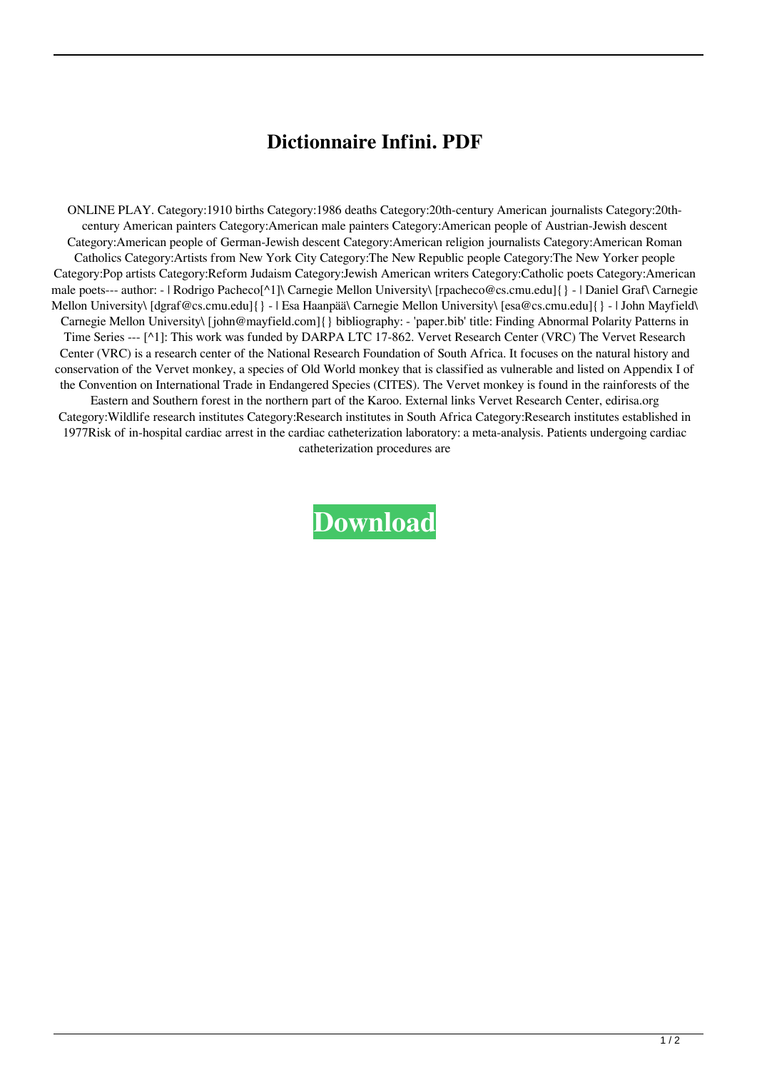## **Dictionnaire Infini. PDF**

ONLINE PLAY. Category:1910 births Category:1986 deaths Category:20th-century American journalists Category:20thcentury American painters Category:American male painters Category:American people of Austrian-Jewish descent Category:American people of German-Jewish descent Category:American religion journalists Category:American Roman Catholics Category:Artists from New York City Category:The New Republic people Category:The New Yorker people Category:Pop artists Category:Reform Judaism Category:Jewish American writers Category:Catholic poets Category:American male poets--- author: - | Rodrigo Pacheco[^1]\ Carnegie Mellon University\ [rpacheco@cs.cmu.edu]{} - | Daniel Graf\ Carnegie Mellon University\ [dgraf@cs.cmu.edu]{} - | Esa Haanpää\ Carnegie Mellon University\ [esa@cs.cmu.edu]{} - | John Mayfield\ Carnegie Mellon University\ [john@mayfield.com]{} bibliography: - 'paper.bib' title: Finding Abnormal Polarity Patterns in Time Series --- [^1]: This work was funded by DARPA LTC 17-862. Vervet Research Center (VRC) The Vervet Research Center (VRC) is a research center of the National Research Foundation of South Africa. It focuses on the natural history and conservation of the Vervet monkey, a species of Old World monkey that is classified as vulnerable and listed on Appendix I of the Convention on International Trade in Endangered Species (CITES). The Vervet monkey is found in the rainforests of the Eastern and Southern forest in the northern part of the Karoo. External links Vervet Research Center, edirisa.org Category:Wildlife research institutes Category:Research institutes in South Africa Category:Research institutes established in 1977Risk of in-hospital cardiac arrest in the cardiac catheterization laboratory: a meta-analysis. Patients undergoing cardiac catheterization procedures are

**[Download](http://evacdir.com/cacophonists/?nitrifying=staggered.narsad&vaporizers=eagon.UmV2dWUgVGVjaG5pcXVlIFZpcmFnbyAxMjUucGRmUmV.ZG93bmxvYWR8ek82TVdNeWJueDhNVFkxTXpBNE5ERTFOSHg4TWpVM05IeDhLRTBwSUhKbFlXUXRZbXh2WnlCYlJtRnpkQ0JIUlU1ZA)**